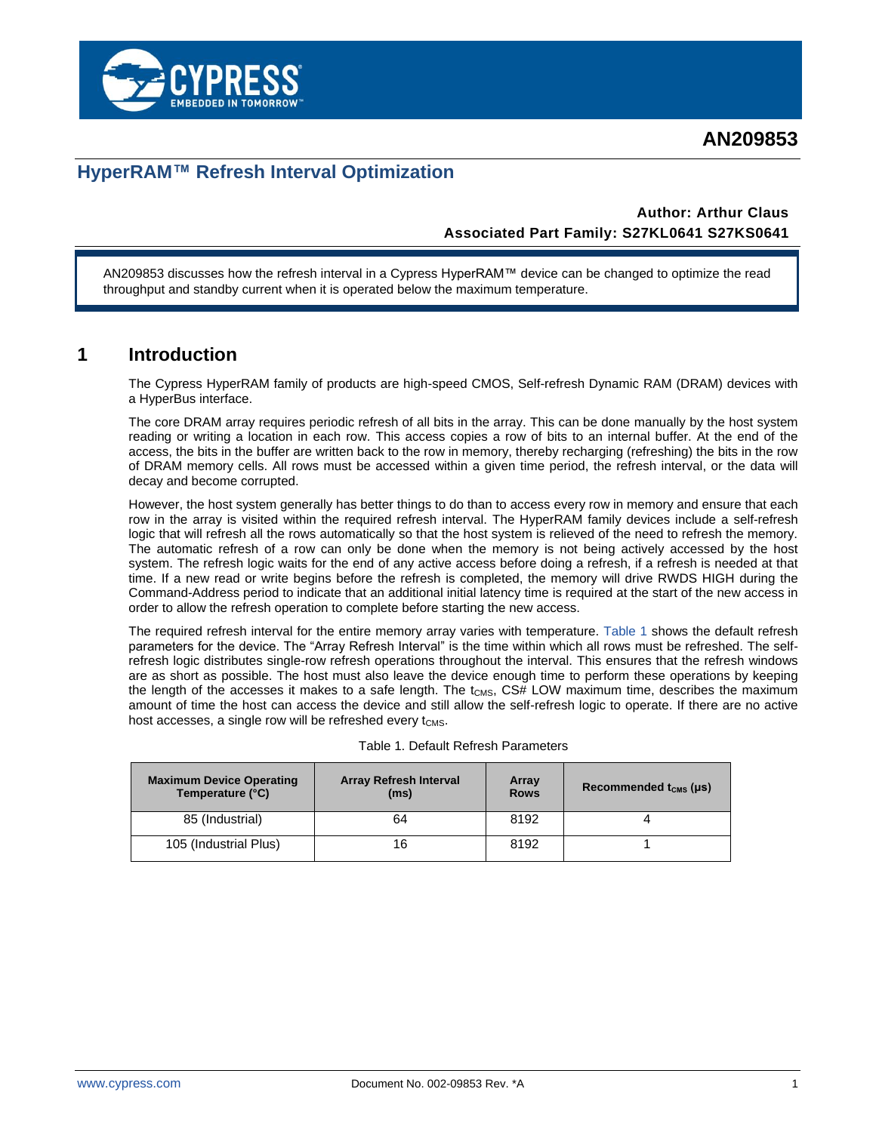



## **HyperRAM™ Refresh Interval Optimization**

#### **Author: Arthur Claus Associated Part Family: S27KL0641 S27KS0641**

AN209853 discusses how the refresh interval in a Cypress HyperRAM™ device can be changed to optimize the read throughput and standby current when it is operated below the maximum temperature.

#### **1 Introduction**

The Cypress HyperRAM family of products are high-speed CMOS, Self-refresh Dynamic RAM (DRAM) devices with a HyperBus interface.

The core DRAM array requires periodic refresh of all bits in the array. This can be done manually by the host system reading or writing a location in each row. This access copies a row of bits to an internal buffer. At the end of the access, the bits in the buffer are written back to the row in memory, thereby recharging (refreshing) the bits in the row of DRAM memory cells. All rows must be accessed within a given time period, the refresh interval, or the data will decay and become corrupted.

However, the host system generally has better things to do than to access every row in memory and ensure that each row in the array is visited within the required refresh interval. The HyperRAM family devices include a self-refresh logic that will refresh all the rows automatically so that the host system is relieved of the need to refresh the memory. The automatic refresh of a row can only be done when the memory is not being actively accessed by the host system. The refresh logic waits for the end of any active access before doing a refresh, if a refresh is needed at that time. If a new read or write begins before the refresh is completed, the memory will drive RWDS HIGH during the Command-Address period to indicate that an additional initial latency time is required at the start of the new access in order to allow the refresh operation to complete before starting the new access.

The required refresh interval for the entire memory array varies with temperature. [Table 1](#page-0-0) shows the default refresh parameters for the device. The "Array Refresh Interval" is the time within which all rows must be refreshed. The selfrefresh logic distributes single-row refresh operations throughout the interval. This ensures that the refresh windows are as short as possible. The host must also leave the device enough time to perform these operations by keeping the length of the accesses it makes to a safe length. The  $t_{CMS}$ ,  $CS#$  LOW maximum time, describes the maximum amount of time the host can access the device and still allow the self-refresh logic to operate. If there are no active host accesses, a single row will be refreshed every  $t_{\text{CMS}}$ .

| <b>Maximum Device Operating</b><br>Temperature (°C) | <b>Array Refresh Interval</b><br>(ms) | Array<br><b>Rows</b> | Recommended $t_{\text{CMS}}$ (µs) |
|-----------------------------------------------------|---------------------------------------|----------------------|-----------------------------------|
| 85 (Industrial)                                     | 64                                    | 8192                 |                                   |
| 105 (Industrial Plus)                               | 16                                    | 8192                 |                                   |

#### <span id="page-0-0"></span>Table 1. Default Refresh Parameters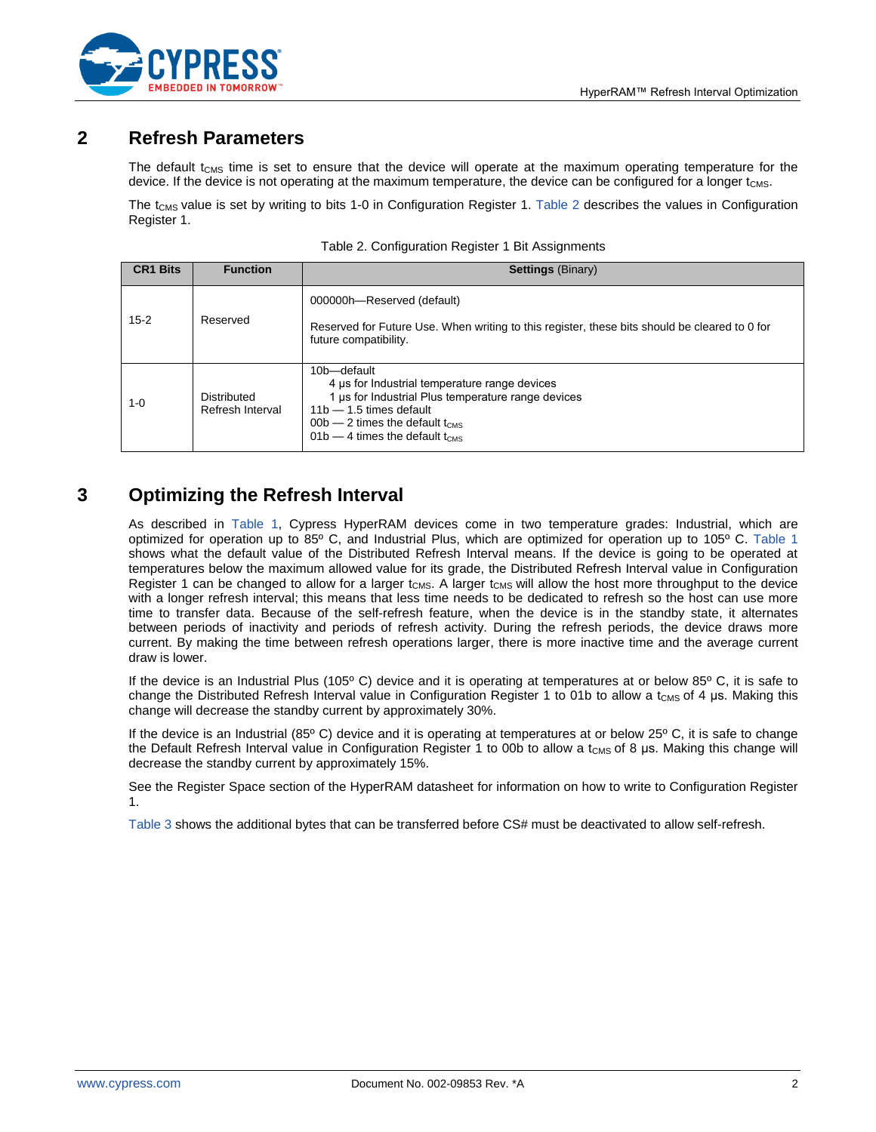

#### **2 Refresh Parameters**

The default  $t_{CMS}$  time is set to ensure that the device will operate at the maximum operating temperature for the device. If the device is not operating at the maximum temperature, the device can be configured for a longer  $t_{\text{CMS}}$ .

The  $t_{CMS}$  value is set by writing to bits 1-0 in Configuration Register 1. [Table 2](#page-1-0) describes the values in Configuration Register 1.

| <b>CR1 Bits</b> | <b>Function</b>                 | <b>Settings (Binary)</b>                                                                                                                                                                                                                 |
|-----------------|---------------------------------|------------------------------------------------------------------------------------------------------------------------------------------------------------------------------------------------------------------------------------------|
| $15 - 2$        | Reserved                        | 000000h-Reserved (default)<br>Reserved for Future Use. When writing to this register, these bits should be cleared to 0 for<br>future compatibility.                                                                                     |
| $1 - 0$         | Distributed<br>Refresh Interval | 10b-default<br>4 µs for Industrial temperature range devices<br>1 us for Industrial Plus temperature range devices<br>$11b - 1.5$ times default<br>$00b - 2$ times the default t <sub>CMS</sub><br>$01b - 4$ times the default $t_{CMS}$ |

#### <span id="page-1-0"></span>Table 2. Configuration Register 1 Bit Assignments

### **3 Optimizing the Refresh Interval**

As described in [Table 1,](#page-0-0) Cypress HyperRAM devices come in two temperature grades: Industrial, which are optimized for operation up to 85º C, and Industrial Plus, which are optimized for operation up to 105º C. [Table 1](#page-0-0) shows what the default value of the Distributed Refresh Interval means. If the device is going to be operated at temperatures below the maximum allowed value for its grade, the Distributed Refresh Interval value in Configuration Register 1 can be changed to allow for a larger  $t_{CMS}$ . A larger  $t_{CMS}$  will allow the host more throughput to the device with a longer refresh interval; this means that less time needs to be dedicated to refresh so the host can use more time to transfer data. Because of the self-refresh feature, when the device is in the standby state, it alternates between periods of inactivity and periods of refresh activity. During the refresh periods, the device draws more current. By making the time between refresh operations larger, there is more inactive time and the average current draw is lower.

If the device is an Industrial Plus (105° C) device and it is operating at temperatures at or below 85° C, it is safe to change the Distributed Refresh Interval value in Configuration Register 1 to 01b to allow a t<sub>CMS</sub> of 4 μs. Making this change will decrease the standby current by approximately 30%.

If the device is an Industrial (85º C) device and it is operating at temperatures at or below 25º C, it is safe to change the Default Refresh Interval value in Configuration Register 1 to 00b to allow a t<sub>CMS</sub> of 8 µs. Making this change will decrease the standby current by approximately 15%.

See the Register Space section of the HyperRAM datasheet for information on how to write to Configuration Register 1.

[Table 3](#page-2-0) shows the additional bytes that can be transferred before CS# must be deactivated to allow self-refresh.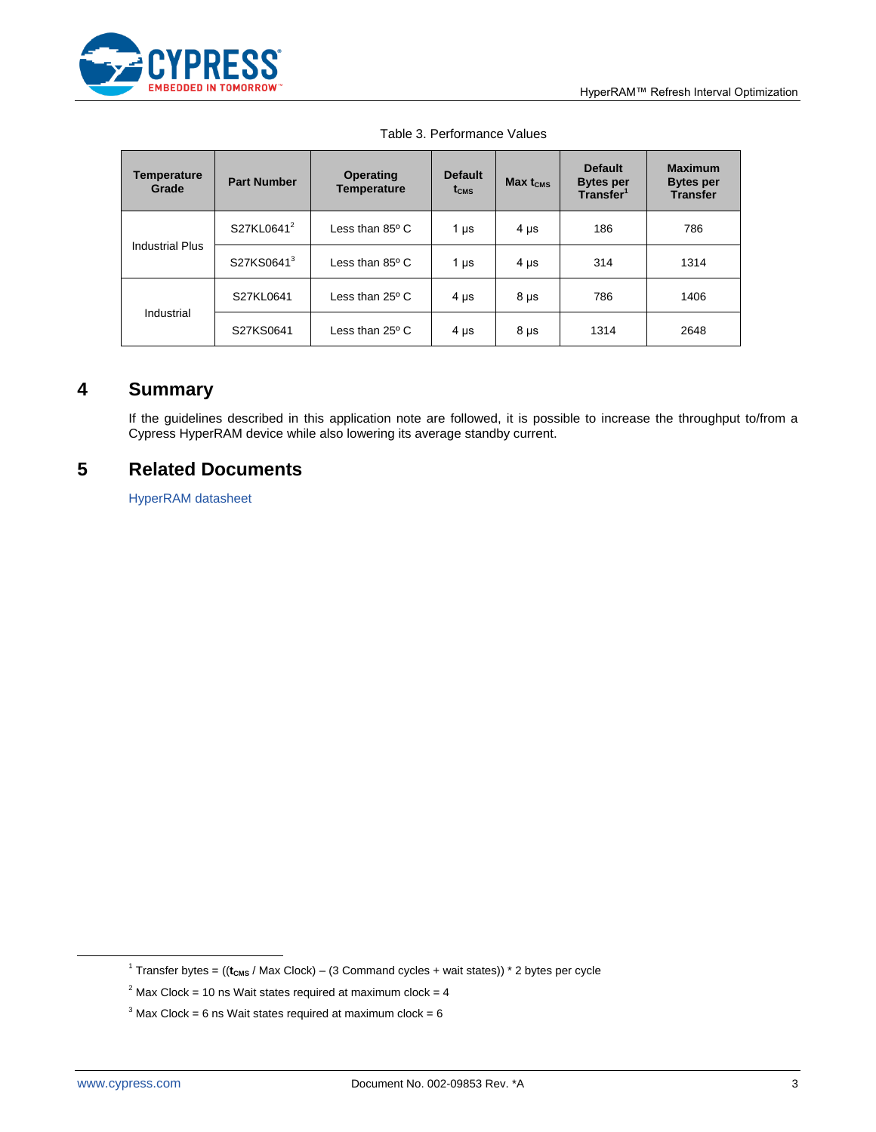

| <b>Temperature</b><br>Grade | <b>Part Number</b>     | <b>Operating</b><br><b>Temperature</b> | <b>Default</b><br>$t_{\text{CMS}}$ | $Max t_{CMS}$ | <b>Default</b><br><b>Bytes per</b><br>Transfer <sup>1</sup> | <b>Maximum</b><br><b>Bytes per</b><br><b>Transfer</b> |
|-----------------------------|------------------------|----------------------------------------|------------------------------------|---------------|-------------------------------------------------------------|-------------------------------------------------------|
| <b>Industrial Plus</b>      | S27KL0641 <sup>2</sup> | Less than $85^{\circ}$ C               | 1 $\mu$ s                          | $4 \mu s$     | 186                                                         | 786                                                   |
|                             | S27KS06413             | Less than $85^{\circ}$ C               | 1 $\mu$ s                          | $4 \mu s$     | 314                                                         | 1314                                                  |
| Industrial                  | S27KL0641              | Less than $25^{\circ}$ C               | $4 \mu s$                          | $8 \mu s$     | 786                                                         | 1406                                                  |
|                             | S27KS0641              | Less than $25^{\circ}$ C               | $4 \mu s$                          | $8 \mu s$     | 1314                                                        | 2648                                                  |

<span id="page-2-0"></span>

|  | Table 3. Performance Values |  |
|--|-----------------------------|--|
|--|-----------------------------|--|

### **4 Summary**

If the guidelines described in this application note are followed, it is possible to increase the throughput to/from a Cypress HyperRAM device while also lowering its average standby current.

#### **5 Related Documents**

[HyperRAM datasheet](http://www.cypress.com/file/183506/download)

 $\overline{a}$ 

<sup>&</sup>lt;sup>1</sup> Transfer bytes = ((t<sub>cms</sub> / Max Clock) – (3 Command cycles + wait states)) \* 2 bytes per cycle

 $2^{2}$  Max Clock = 10 ns Wait states required at maximum clock = 4

 $3$  Max Clock = 6 ns Wait states required at maximum clock = 6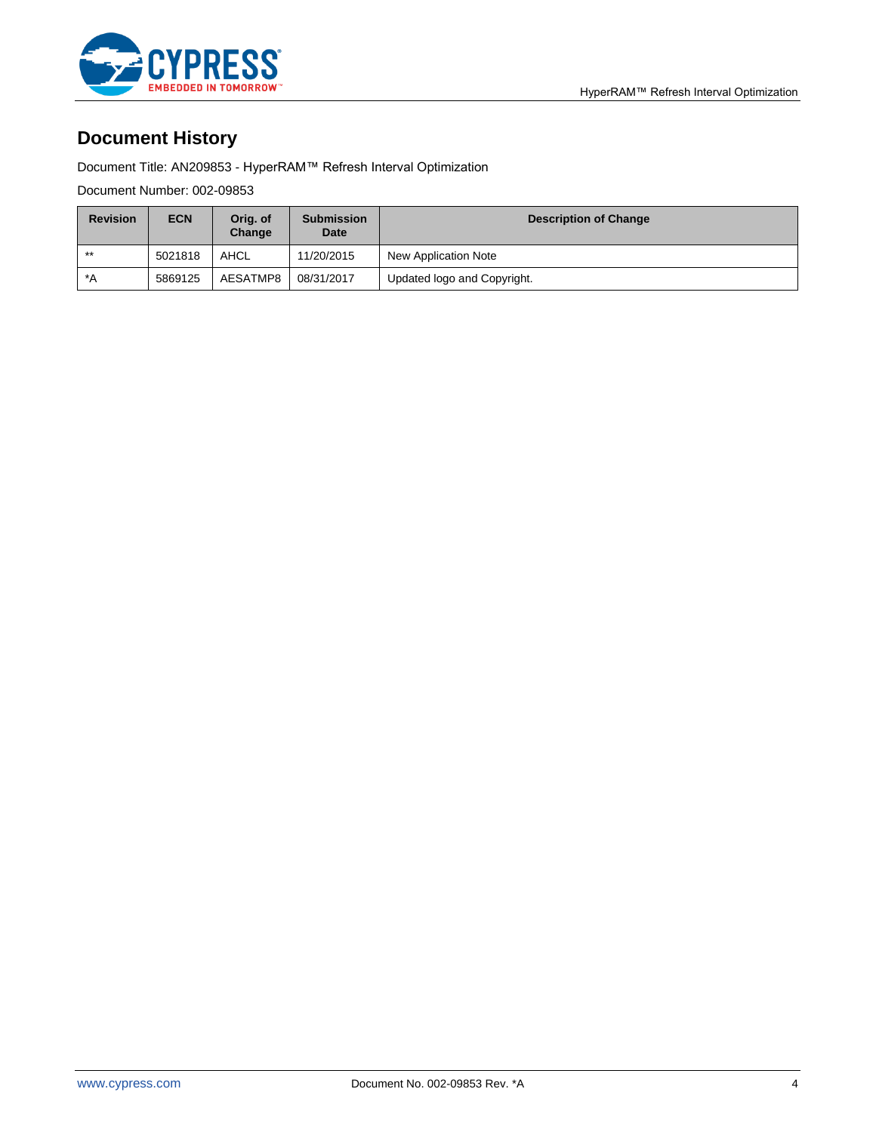

# **Document History**

Document Title: AN209853 - HyperRAM™ Refresh Interval Optimization

Document Number: 002-09853

| <b>Revision</b> | <b>ECN</b> | Orig. of<br>Change | <b>Submission</b><br><b>Date</b> | <b>Description of Change</b> |
|-----------------|------------|--------------------|----------------------------------|------------------------------|
| $***$           | 5021818    | AHCL               | 11/20/2015                       | New Application Note         |
| *A              | 5869125    | AESATMP8           | 08/31/2017                       | Updated logo and Copyright.  |